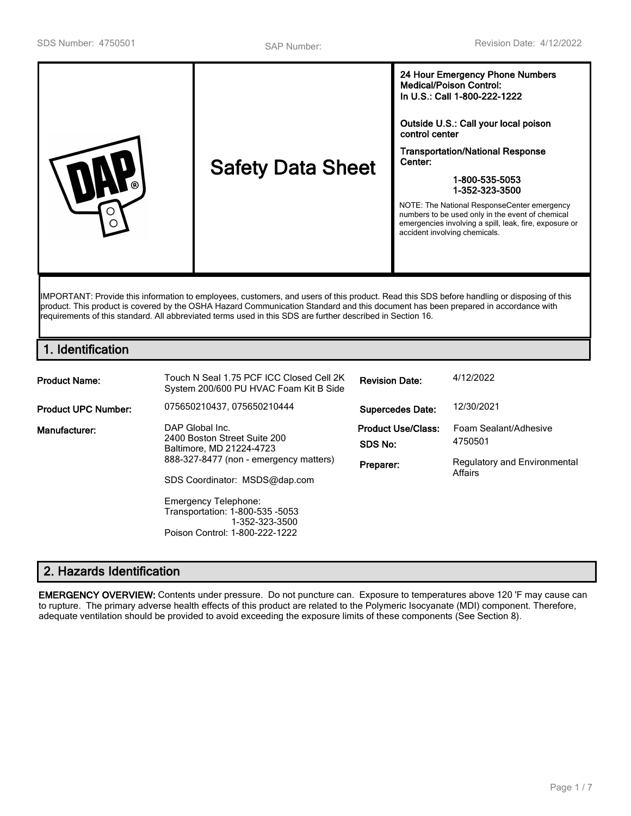| Outside U.S.: Call your local poison<br>control center<br><b>Transportation/National Response</b><br>Center:<br><b>Safety Data Sheet</b><br>1-800-535-5053<br>1-352-323-3500<br>NOTE: The National ResponseCenter emergency<br>numbers to be used only in the event of chemical<br>emergencies involving a spill, leak, fire, exposure or<br>( )<br>accident involving chemicals. |
|-----------------------------------------------------------------------------------------------------------------------------------------------------------------------------------------------------------------------------------------------------------------------------------------------------------------------------------------------------------------------------------|
|-----------------------------------------------------------------------------------------------------------------------------------------------------------------------------------------------------------------------------------------------------------------------------------------------------------------------------------------------------------------------------------|

product. This product is covered by the OSHA Hazard Communication Standard and this document has been prepared in accordance with requirements of this standard. All abbreviated terms used in this SDS are further described in Section 16.

### **1. Identification**

| <b>Product Name:</b>       | Touch N Seal 1.75 PCF ICC Closed Cell 2K<br>System 200/600 PU HVAC Foam Kit B Side                                                                                                    | <b>Revision Date:</b>                             | 4/12/2022                                                                   |
|----------------------------|---------------------------------------------------------------------------------------------------------------------------------------------------------------------------------------|---------------------------------------------------|-----------------------------------------------------------------------------|
| <b>Product UPC Number:</b> | 075650210437.075650210444                                                                                                                                                             | <b>Supercedes Date:</b>                           | 12/30/2021                                                                  |
| Manufacturer:              | DAP Global Inc.<br>2400 Boston Street Suite 200<br>Baltimore, MD 21224-4723<br>888-327-8477 (non - emergency matters)<br>SDS Coordinator: MSDS@dap.com<br><b>Emergency Telephone:</b> | <b>Product Use/Class:</b><br>SDS No:<br>Preparer: | Foam Sealant/Adhesive<br>4750501<br>Regulatory and Environmental<br>Affairs |
|                            | Transportation: 1-800-535 -5053<br>1-352-323-3500<br>Poison Control: 1-800-222-1222                                                                                                   |                                                   |                                                                             |

# **2. Hazards Identification**

**EMERGENCY OVERVIEW:** Contents under pressure. Do not puncture can. Exposure to temperatures above 120 'F may cause can to rupture. The primary adverse health effects of this product are related to the Polymeric Isocyanate (MDI) component. Therefore, adequate ventilation should be provided to avoid exceeding the exposure limits of these components (See Section 8).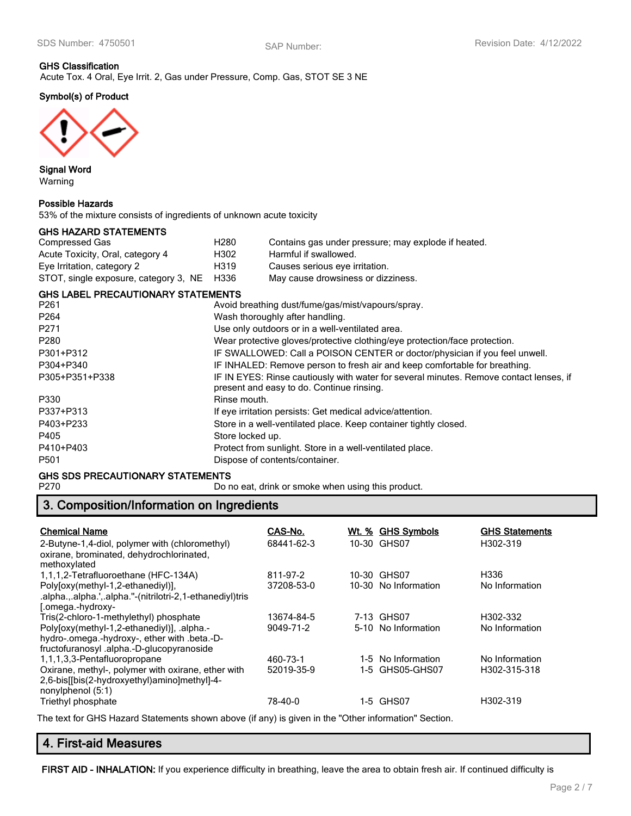# **GHS Classification**

Acute Tox. 4 Oral, Eye Irrit. 2, Gas under Pressure, Comp. Gas, STOT SE 3 NE

### **Symbol(s) of Product**



**Signal Word** Warning

#### **Possible Hazards**

53% of the mixture consists of ingredients of unknown acute toxicity

#### **GHS HAZARD STATEMENTS**

| Compressed Gas                             | H <sub>280</sub> | Contains gas under pressure; may explode if heated. |
|--------------------------------------------|------------------|-----------------------------------------------------|
| Acute Toxicity, Oral, category 4           | H302             | Harmful if swallowed.                               |
| Eye Irritation, category 2                 | H319             | Causes serious eye irritation.                      |
| STOT, single exposure, category 3, NE H336 |                  | May cause drowsiness or dizziness.                  |

#### **GHS LABEL PRECAUTIONARY STATEMENTS**

| Avoid breathing dust/fume/gas/mist/vapours/spray.                                                                                   |
|-------------------------------------------------------------------------------------------------------------------------------------|
| Wash thoroughly after handling.                                                                                                     |
| Use only outdoors or in a well-ventilated area.                                                                                     |
| Wear protective gloves/protective clothing/eye protection/face protection.                                                          |
| IF SWALLOWED: Call a POISON CENTER or doctor/physician if you feel unwell.                                                          |
| IF INHALED: Remove person to fresh air and keep comfortable for breathing.                                                          |
| IF IN EYES: Rinse cautiously with water for several minutes. Remove contact lenses, if<br>present and easy to do. Continue rinsing. |
| Rinse mouth.                                                                                                                        |
| If eye irritation persists: Get medical advice/attention.                                                                           |
| Store in a well-ventilated place. Keep container tightly closed.                                                                    |
| Store locked up.                                                                                                                    |
| Protect from sunlight. Store in a well-ventilated place.                                                                            |
| Dispose of contents/container.                                                                                                      |
|                                                                                                                                     |

# **GHS SDS PRECAUTIONARY STATEMENTS**<br>P270 Dor

Do no eat, drink or smoke when using this product.

# **3. Composition/Information on Ingredients**

| <b>Chemical Name</b><br>2-Butyne-1,4-diol, polymer with (chloromethyl)<br>oxirane, brominated, dehydrochlorinated,<br>methoxylated                                               | CAS-No.<br>68441-62-3   | Wt. % | <b>GHS Symbols</b><br>10-30 GHS07     | <b>GHS Statements</b><br>H302-319 |
|----------------------------------------------------------------------------------------------------------------------------------------------------------------------------------|-------------------------|-------|---------------------------------------|-----------------------------------|
| 1,1,1,2-Tetrafluoroethane (HFC-134A)<br>Poly[oxy(methyl-1,2-ethanediyl)],<br>.alpha.,.alpha.',.alpha."-(nitrilotri-2,1-ethanediyl)tris<br>[.omega.-hydroxy-                      | 811-97-2<br>37208-53-0  |       | 10-30 GHS07<br>10-30 No Information   | H336<br>No Information            |
| Tris(2-chloro-1-methylethyl) phosphate<br>Poly[oxy(methyl-1,2-ethanediyl)], .alpha.-<br>hydro-.omega.-hydroxy-, ether with .beta.-D-<br>fructofuranosyl.alpha.-D-glucopyranoside | 13674-84-5<br>9049-71-2 |       | 7-13 GHS07<br>5-10 No Information     | H302-332<br>No Information        |
| 1,1,1,3,3-Pentafluoropropane<br>Oxirane, methyl-, polymer with oxirane, ether with<br>2,6-bis[[bis(2-hydroxyethyl)amino]methyl]-4-<br>nonylphenol (5:1)                          | 460-73-1<br>52019-35-9  |       | 1-5 No Information<br>1-5 GHS05-GHS07 | No Information<br>H302-315-318    |
| Triethyl phosphate                                                                                                                                                               | 78-40-0                 |       | 1-5 GHS07                             | H302-319                          |

The text for GHS Hazard Statements shown above (if any) is given in the "Other information" Section.

# **4. First-aid Measures**

**FIRST AID - INHALATION:** If you experience difficulty in breathing, leave the area to obtain fresh air. If continued difficulty is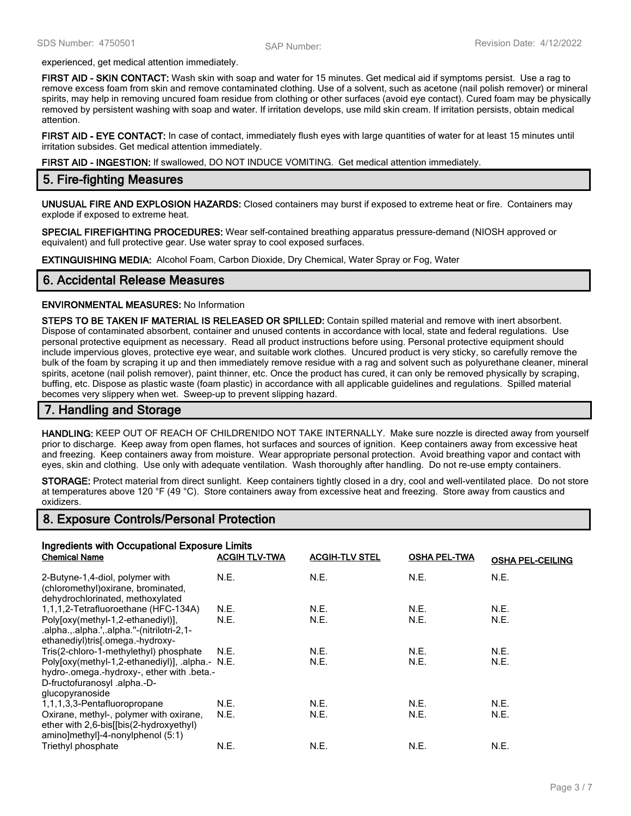experienced, get medical attention immediately.

**FIRST AID - SKIN CONTACT:** Wash skin with soap and water for 15 minutes. Get medical aid if symptoms persist. Use a rag to remove excess foam from skin and remove contaminated clothing. Use of a solvent, such as acetone (nail polish remover) or mineral spirits, may help in removing uncured foam residue from clothing or other surfaces (avoid eye contact). Cured foam may be physically removed by persistent washing with soap and water. If irritation develops, use mild skin cream. If irritation persists, obtain medical attention.

**FIRST AID - EYE CONTACT:** In case of contact, immediately flush eyes with large quantities of water for at least 15 minutes until irritation subsides. Get medical attention immediately.

**FIRST AID - INGESTION:** If swallowed, DO NOT INDUCE VOMITING. Get medical attention immediately.

#### **5. Fire-fighting Measures**

**UNUSUAL FIRE AND EXPLOSION HAZARDS:** Closed containers may burst if exposed to extreme heat or fire. Containers may explode if exposed to extreme heat.

**SPECIAL FIREFIGHTING PROCEDURES:** Wear self-contained breathing apparatus pressure-demand (NIOSH approved or equivalent) and full protective gear. Use water spray to cool exposed surfaces.

**EXTINGUISHING MEDIA:** Alcohol Foam, Carbon Dioxide, Dry Chemical, Water Spray or Fog, Water

#### **6. Accidental Release Measures**

#### **ENVIRONMENTAL MEASURES:** No Information

**STEPS TO BE TAKEN IF MATERIAL IS RELEASED OR SPILLED:** Contain spilled material and remove with inert absorbent. Dispose of contaminated absorbent, container and unused contents in accordance with local, state and federal regulations. Use personal protective equipment as necessary. Read all product instructions before using. Personal protective equipment should include impervious gloves, protective eye wear, and suitable work clothes. Uncured product is very sticky, so carefully remove the bulk of the foam by scraping it up and then immediately remove residue with a rag and solvent such as polyurethane cleaner, mineral spirits, acetone (nail polish remover), paint thinner, etc. Once the product has cured, it can only be removed physically by scraping, buffing, etc. Dispose as plastic waste (foam plastic) in accordance with all applicable guidelines and regulations. Spilled material becomes very slippery when wet. Sweep-up to prevent slipping hazard.

#### **7. Handling and Storage**

**HANDLING:** KEEP OUT OF REACH OF CHILDREN!DO NOT TAKE INTERNALLY. Make sure nozzle is directed away from yourself prior to discharge. Keep away from open flames, hot surfaces and sources of ignition. Keep containers away from excessive heat and freezing. Keep containers away from moisture. Wear appropriate personal protection. Avoid breathing vapor and contact with eyes, skin and clothing. Use only with adequate ventilation. Wash thoroughly after handling. Do not re-use empty containers.

**STORAGE:** Protect material from direct sunlight. Keep containers tightly closed in a dry, cool and well-ventilated place. Do not store at temperatures above 120 °F (49 °C). Store containers away from excessive heat and freezing. Store away from caustics and oxidizers.

#### **8. Exposure Controls/Personal Protection**

| Ingredients with Occupational Exposure Limits                                                                                                    |                      |                       |                     |                         |
|--------------------------------------------------------------------------------------------------------------------------------------------------|----------------------|-----------------------|---------------------|-------------------------|
| <b>Chemical Name</b>                                                                                                                             | <b>ACGIH TLV-TWA</b> | <b>ACGIH-TLV STEL</b> | <b>OSHA PEL-TWA</b> | <b>OSHA PEL-CEILING</b> |
| 2-Butyne-1,4-diol, polymer with<br>(chloromethyl) oxirane, brominated,<br>dehydrochlorinated, methoxylated                                       | N.E.                 | N.E.                  | N.E.                | N.E.                    |
| 1,1,1,2-Tetrafluoroethane (HFC-134A)                                                                                                             | N.E.                 | N.E.                  | N.E.                | N.E.                    |
| Poly[oxy(methyl-1,2-ethanediyl)],<br>.alpha.,.alpha.',.alpha."-(nitrilotri-2,1-<br>ethanediyl)tris[.omega.-hydroxy-                              | N.E.                 | N.E.                  | N.E.                | N.E.                    |
| Tris(2-chloro-1-methylethyl) phosphate                                                                                                           | N.E.                 | N.E.                  | N.E.                | N.E.                    |
| Poly[oxy(methyl-1,2-ethanediyl)], .alpha.- N.E.<br>hydro-.omega.-hydroxy-, ether with .beta.-<br>D-fructofuranosyl .alpha.-D-<br>glucopyranoside |                      | N.E.                  | N.E.                | N.E.                    |
| 1,1,1,3,3-Pentafluoropropane                                                                                                                     | N.E.                 | N.E.                  | N.E.                | N.E.                    |
| Oxirane, methyl-, polymer with oxirane,<br>ether with 2,6-bis[[bis(2-hydroxyethyl)<br>amino]methyl]-4-nonylphenol (5:1)                          | N.E.                 | N.E.                  | N.E.                | N.E.                    |
| Triethyl phosphate                                                                                                                               | N.E.                 | N.E.                  | N.E.                | N.E.                    |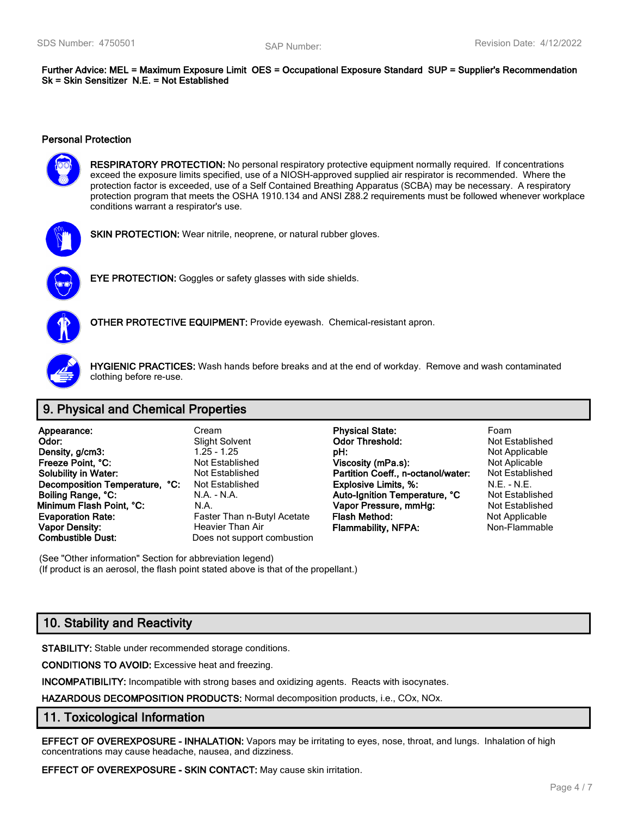**Further Advice: MEL = Maximum Exposure Limit OES = Occupational Exposure Standard SUP = Supplier's Recommendation Sk = Skin Sensitizer N.E. = Not Established**

#### **Personal Protection**



**RESPIRATORY PROTECTION:** No personal respiratory protective equipment normally required. If concentrations exceed the exposure limits specified, use of a NIOSH-approved supplied air respirator is recommended. Where the protection factor is exceeded, use of a Self Contained Breathing Apparatus (SCBA) may be necessary. A respiratory protection program that meets the OSHA 1910.134 and ANSI Z88.2 requirements must be followed whenever workplace conditions warrant a respirator's use.



**SKIN PROTECTION:** Wear nitrile, neoprene, or natural rubber gloves.



**EYE PROTECTION:** Goggles or safety glasses with side shields.



**OTHER PROTECTIVE EQUIPMENT:** Provide eyewash. Chemical-resistant apron.



**HYGIENIC PRACTICES:** Wash hands before breaks and at the end of workday. Remove and wash contaminated clothing before re-use.

# **9. Physical and Chemical Properties**

| Appearance:                       |    |
|-----------------------------------|----|
| Odor:                             |    |
| Density, g/cm3:                   |    |
| Freeze Point, °C:                 |    |
| <b>Solubility in Water:</b>       |    |
| <b>Decomposition Temperature,</b> | °€ |
| Boiling Range, °C:                |    |
| Minimum Flash Point, °C:          |    |
| <b>Evaporation Rate:</b>          |    |
| <b>Vapor Density:</b>             |    |
| <b>Combustible Dust:</b>          |    |

Does not support combustion

**Appearance:** Cream **Physical State:** Foam **Physical State: Odor:** Slight Solvent **Odor Threshold:** Not Established **Density, g/cm3:** 1.25 - 1.25 **pH:** Not Applicable **Freeze Point Applicable Point Applicable Viscosity (mPa.s):** Not Aplicable Not Established **Partition Coeff., n-octanol/water:** Not Established **Decomposition Temperature Temperature Temperature Constructs Constructs Area Figure 2.1 A.E.** - N.E. - N.E. **Boiling Range, °C:** N.A. - N.A. **Auto-Ignition Temperature, °C** Not Established **Minimum Flash Point, °C:** N.A. **Vapor Pressure, mmHg:** Not Established **Faster Than n-Butyl Acetate Flash Method:** Not Applicable **Vapor Density:** Heavier Than Air **Flammability, NFPA:** Non-Flammable

(See "Other information" Section for abbreviation legend) (If product is an aerosol, the flash point stated above is that of the propellant.)

# **10. Stability and Reactivity**

**STABILITY:** Stable under recommended storage conditions.

**CONDITIONS TO AVOID:** Excessive heat and freezing.

**INCOMPATIBILITY:** Incompatible with strong bases and oxidizing agents. Reacts with isocynates.

**HAZARDOUS DECOMPOSITION PRODUCTS:** Normal decomposition products, i.e., COx, NOx.

#### **11. Toxicological Information**

**EFFECT OF OVEREXPOSURE - INHALATION:** Vapors may be irritating to eyes, nose, throat, and lungs. Inhalation of high concentrations may cause headache, nausea, and dizziness.

**EFFECT OF OVEREXPOSURE - SKIN CONTACT:** May cause skin irritation.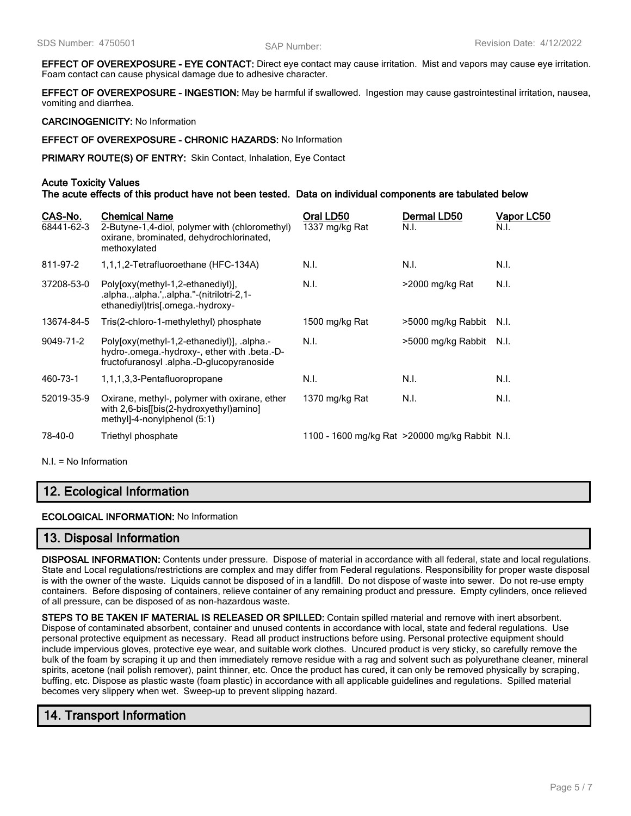**EFFECT OF OVEREXPOSURE - EYE CONTACT:** Direct eye contact may cause irritation. Mist and vapors may cause eye irritation. Foam contact can cause physical damage due to adhesive character.

**EFFECT OF OVEREXPOSURE - INGESTION:** May be harmful if swallowed. Ingestion may cause gastrointestinal irritation, nausea, vomiting and diarrhea.

**CARCINOGENICITY:** No Information

**EFFECT OF OVEREXPOSURE - CHRONIC HAZARDS:** No Information

**PRIMARY ROUTE(S) OF ENTRY:** Skin Contact, Inhalation, Eye Contact

#### **Acute Toxicity Values**

**The acute effects of this product have not been tested. Data on individual components are tabulated below**

| CAS-No.<br>68441-62-3 | <b>Chemical Name</b><br>2-Butyne-1,4-diol, polymer with (chloromethyl)<br>oxirane, brominated, dehydrochlorinated,<br>methoxylated     | Oral LD50<br>1337 mg/kg Rat                     | Dermal LD50<br>N.I. | Vapor LC50<br>N.I. |
|-----------------------|----------------------------------------------------------------------------------------------------------------------------------------|-------------------------------------------------|---------------------|--------------------|
| 811-97-2              | 1,1,1,2-Tetrafluoroethane (HFC-134A)                                                                                                   | N.I.                                            | N.I.                | N.I.               |
| 37208-53-0            | Poly[oxy(methyl-1,2-ethanediyl)],<br>.alpha.,.alpha.',.alpha."-(nitrilotri-2,1-<br>ethanediyl)tris[.omega.-hydroxy-                    | N.I.                                            | >2000 mg/kg Rat     | N.I.               |
| 13674-84-5            | Tris(2-chloro-1-methylethyl) phosphate                                                                                                 | 1500 mg/kg Rat                                  | >5000 mg/kg Rabbit  | N.I.               |
| 9049-71-2             | Polyloxy(methyl-1,2-ethanediyl)], .alpha.-<br>hydro-.omega.-hydroxy-, ether with .beta.-D-<br>fructofuranosyl.alpha.-D-glucopyranoside | N.I.                                            | >5000 mg/kg Rabbit  | N.I.               |
| 460-73-1              | 1,1,1,3,3-Pentafluoropropane                                                                                                           | N.I.                                            | N.I.                | N.I.               |
| 52019-35-9            | Oxirane, methyl-, polymer with oxirane, ether<br>with 2,6-bis[[bis(2-hydroxyethyl)amino]<br>methyl]-4-nonylphenol $(5:1)$              | 1370 mg/kg Rat                                  | N.I.                | N.I.               |
| 78-40-0               | Triethyl phosphate                                                                                                                     | 1100 - 1600 mg/kg Rat > 20000 mg/kg Rabbit N.I. |                     |                    |

N.I. = No Information

### **12. Ecological Information**

**ECOLOGICAL INFORMATION:** No Information

#### **13. Disposal Information**

**DISPOSAL INFORMATION:** Contents under pressure. Dispose of material in accordance with all federal, state and local regulations. State and Local regulations/restrictions are complex and may differ from Federal regulations. Responsibility for proper waste disposal is with the owner of the waste. Liquids cannot be disposed of in a landfill. Do not dispose of waste into sewer. Do not re-use empty containers. Before disposing of containers, relieve container of any remaining product and pressure. Empty cylinders, once relieved of all pressure, can be disposed of as non-hazardous waste.

**STEPS TO BE TAKEN IF MATERIAL IS RELEASED OR SPILLED:** Contain spilled material and remove with inert absorbent. Dispose of contaminated absorbent, container and unused contents in accordance with local, state and federal regulations. Use personal protective equipment as necessary. Read all product instructions before using. Personal protective equipment should include impervious gloves, protective eye wear, and suitable work clothes. Uncured product is very sticky, so carefully remove the bulk of the foam by scraping it up and then immediately remove residue with a rag and solvent such as polyurethane cleaner, mineral spirits, acetone (nail polish remover), paint thinner, etc. Once the product has cured, it can only be removed physically by scraping, buffing, etc. Dispose as plastic waste (foam plastic) in accordance with all applicable guidelines and regulations. Spilled material becomes very slippery when wet. Sweep-up to prevent slipping hazard.

### **14. Transport Information**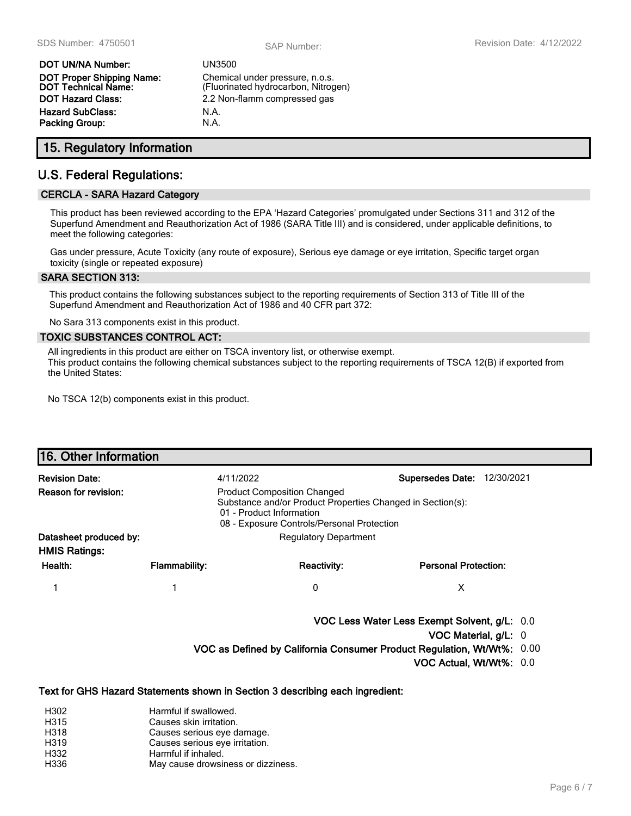| DOT UN/NA Number:                                              | <b>UN3500</b>        |
|----------------------------------------------------------------|----------------------|
| <b>DOT Proper Shipping Name:</b><br><b>DOT Technical Name:</b> | Chemica<br>(Fluorina |
| DOT Hazard Class:                                              | 2.2 Non-             |
| Hazard SubClass:                                               | N.A.                 |
| Packing Group:                                                 | N.A.                 |

Chemical under pressure, n.o.s. (Fluorinated hydrocarbon, Nitrogen) 2.2 Non-flamm compressed gas

### **15. Regulatory Information**

### **U.S. Federal Regulations:**

#### **CERCLA - SARA Hazard Category**

This product has been reviewed according to the EPA 'Hazard Categories' promulgated under Sections 311 and 312 of the Superfund Amendment and Reauthorization Act of 1986 (SARA Title III) and is considered, under applicable definitions, to meet the following categories:

Gas under pressure, Acute Toxicity (any route of exposure), Serious eye damage or eye irritation, Specific target organ toxicity (single or repeated exposure)

#### **SARA SECTION 313:**

This product contains the following substances subject to the reporting requirements of Section 313 of Title III of the Superfund Amendment and Reauthorization Act of 1986 and 40 CFR part 372:

No Sara 313 components exist in this product.

#### **TOXIC SUBSTANCES CONTROL ACT:**

All ingredients in this product are either on TSCA inventory list, or otherwise exempt. This product contains the following chemical substances subject to the reporting requirements of TSCA 12(B) if exported from the United States:

No TSCA 12(b) components exist in this product.

| 16. Other Information  |                                                                        |                                                                                                                                                                            |                                              |  |  |
|------------------------|------------------------------------------------------------------------|----------------------------------------------------------------------------------------------------------------------------------------------------------------------------|----------------------------------------------|--|--|
| <b>Revision Date:</b>  | 4/11/2022                                                              |                                                                                                                                                                            | <b>Supersedes Date:</b><br>12/30/2021        |  |  |
| Reason for revision:   |                                                                        | <b>Product Composition Changed</b><br>Substance and/or Product Properties Changed in Section(s):<br>01 - Product Information<br>08 - Exposure Controls/Personal Protection |                                              |  |  |
| Datasheet produced by: |                                                                        | <b>Regulatory Department</b>                                                                                                                                               |                                              |  |  |
| <b>HMIS Ratings:</b>   |                                                                        |                                                                                                                                                                            |                                              |  |  |
| Health:                | <b>Flammability:</b>                                                   | <b>Reactivity:</b>                                                                                                                                                         | <b>Personal Protection:</b>                  |  |  |
|                        |                                                                        | 0                                                                                                                                                                          | X                                            |  |  |
|                        |                                                                        |                                                                                                                                                                            | VOC Less Water Less Exempt Solvent, g/L: 0.0 |  |  |
|                        |                                                                        |                                                                                                                                                                            | VOC Material, $g/L$ : 0                      |  |  |
|                        | VOC as Defined by California Consumer Product Regulation, Wt/Wt%: 0.00 |                                                                                                                                                                            |                                              |  |  |
|                        |                                                                        |                                                                                                                                                                            | VOC Actual, Wt/Wt%: 0.0                      |  |  |
|                        |                                                                        | Text for GHS Hazard Statements shown in Section 3 describing each ingredient:                                                                                              |                                              |  |  |
| H302                   | Harmful if swallowed.                                                  |                                                                                                                                                                            |                                              |  |  |

H315 Causes skin irritation. H318 Causes serious eye damage. H319 Causes serious eye irritation. H332 Harmful if inhaled. H336 May cause drowsiness or dizziness.